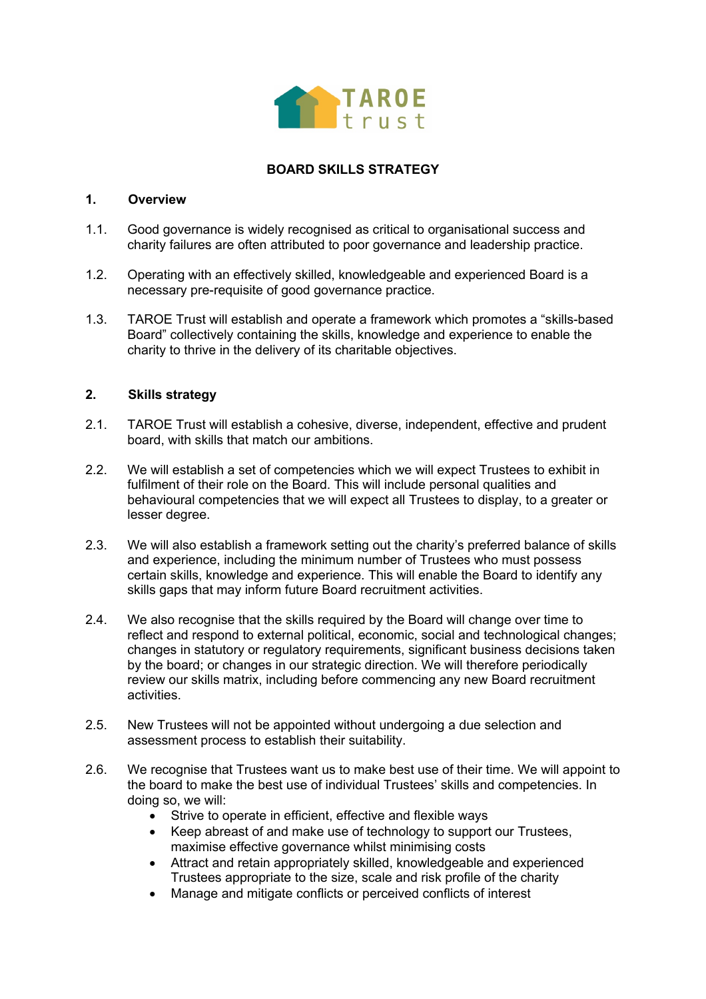

## **BOARD SKILLS STRATEGY**

## **1. Overview**

- 1.1. Good governance is widely recognised as critical to organisational success and charity failures are often attributed to poor governance and leadership practice.
- 1.2. Operating with an effectively skilled, knowledgeable and experienced Board is a necessary pre-requisite of good governance practice.
- 1.3. TAROE Trust will establish and operate a framework which promotes a "skills-based Board" collectively containing the skills, knowledge and experience to enable the charity to thrive in the delivery of its charitable objectives.

## **2. Skills strategy**

- 2.1. TAROE Trust will establish a cohesive, diverse, independent, effective and prudent board, with skills that match our ambitions.
- 2.2. We will establish a set of competencies which we will expect Trustees to exhibit in fulfilment of their role on the Board. This will include personal qualities and behavioural competencies that we will expect all Trustees to display, to a greater or lesser degree.
- 2.3. We will also establish a framework setting out the charity's preferred balance of skills and experience, including the minimum number of Trustees who must possess certain skills, knowledge and experience. This will enable the Board to identify any skills gaps that may inform future Board recruitment activities.
- 2.4. We also recognise that the skills required by the Board will change over time to reflect and respond to external political, economic, social and technological changes; changes in statutory or regulatory requirements, significant business decisions taken by the board; or changes in our strategic direction. We will therefore periodically review our skills matrix, including before commencing any new Board recruitment activities.
- 2.5. New Trustees will not be appointed without undergoing a due selection and assessment process to establish their suitability.
- 2.6. We recognise that Trustees want us to make best use of their time. We will appoint to the board to make the best use of individual Trustees' skills and competencies. In doing so, we will:
	- Strive to operate in efficient, effective and flexible ways
	- Keep abreast of and make use of technology to support our Trustees, maximise effective governance whilst minimising costs
	- Attract and retain appropriately skilled, knowledgeable and experienced Trustees appropriate to the size, scale and risk profile of the charity
	- Manage and mitigate conflicts or perceived conflicts of interest